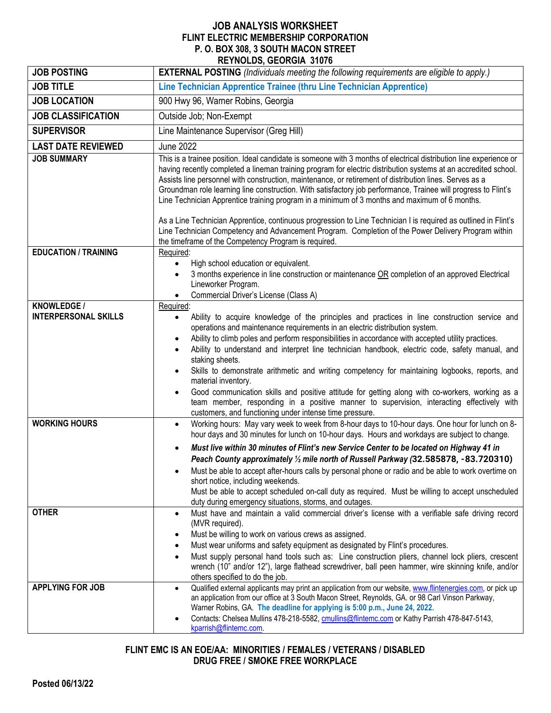## **JOB ANALYSIS WORKSHEET FLINT ELECTRIC MEMBERSHIP CORPORATION P. O. BOX 308, 3 SOUTH MACON STREET REYNOLDS, GEORGIA 31076**

| <b>JOB POSTING</b>          | <b>EXTERNAL POSTING</b> (Individuals meeting the following requirements are eligible to apply.)                                                                                                                                                                                                                                                                                                                                                                                                                                                                                                                                                                                                                                                                                                                                                  |
|-----------------------------|--------------------------------------------------------------------------------------------------------------------------------------------------------------------------------------------------------------------------------------------------------------------------------------------------------------------------------------------------------------------------------------------------------------------------------------------------------------------------------------------------------------------------------------------------------------------------------------------------------------------------------------------------------------------------------------------------------------------------------------------------------------------------------------------------------------------------------------------------|
| <b>JOB TITLE</b>            | Line Technician Apprentice Trainee (thru Line Technician Apprentice)                                                                                                                                                                                                                                                                                                                                                                                                                                                                                                                                                                                                                                                                                                                                                                             |
| <b>JOB LOCATION</b>         | 900 Hwy 96, Warner Robins, Georgia                                                                                                                                                                                                                                                                                                                                                                                                                                                                                                                                                                                                                                                                                                                                                                                                               |
| <b>JOB CLASSIFICATION</b>   | Outside Job; Non-Exempt                                                                                                                                                                                                                                                                                                                                                                                                                                                                                                                                                                                                                                                                                                                                                                                                                          |
| <b>SUPERVISOR</b>           | Line Maintenance Supervisor (Greg Hill)                                                                                                                                                                                                                                                                                                                                                                                                                                                                                                                                                                                                                                                                                                                                                                                                          |
| <b>LAST DATE REVIEWED</b>   | <b>June 2022</b>                                                                                                                                                                                                                                                                                                                                                                                                                                                                                                                                                                                                                                                                                                                                                                                                                                 |
| <b>JOB SUMMARY</b>          | This is a trainee position. Ideal candidate is someone with 3 months of electrical distribution line experience or<br>having recently completed a lineman training program for electric distribution systems at an accredited school.<br>Assists line personnel with construction, maintenance, or retirement of distribution lines. Serves as a<br>Groundman role learning line construction. With satisfactory job performance, Trainee will progress to Flint's<br>Line Technician Apprentice training program in a minimum of 3 months and maximum of 6 months.<br>As a Line Technician Apprentice, continuous progression to Line Technician I is required as outlined in Flint's<br>Line Technician Competency and Advancement Program. Completion of the Power Delivery Program within                                                    |
|                             | the timeframe of the Competency Program is required.                                                                                                                                                                                                                                                                                                                                                                                                                                                                                                                                                                                                                                                                                                                                                                                             |
| <b>EDUCATION / TRAINING</b> | Required:<br>High school education or equivalent.<br>$\bullet$<br>3 months experience in line construction or maintenance OR completion of an approved Electrical<br>$\bullet$<br>Lineworker Program.<br>Commercial Driver's License (Class A)<br>$\bullet$                                                                                                                                                                                                                                                                                                                                                                                                                                                                                                                                                                                      |
| <b>KNOWLEDGE /</b>          | Required:                                                                                                                                                                                                                                                                                                                                                                                                                                                                                                                                                                                                                                                                                                                                                                                                                                        |
| <b>INTERPERSONAL SKILLS</b> | Ability to acquire knowledge of the principles and practices in line construction service and<br>$\bullet$<br>operations and maintenance requirements in an electric distribution system.<br>Ability to climb poles and perform responsibilities in accordance with accepted utility practices.<br>$\bullet$<br>Ability to understand and interpret line technician handbook, electric code, safety manual, and<br>staking sheets.<br>Skills to demonstrate arithmetic and writing competency for maintaining logbooks, reports, and<br>$\bullet$<br>material inventory.<br>Good communication skills and positive attitude for getting along with co-workers, working as a<br>$\bullet$<br>team member, responding in a positive manner to supervision, interacting effectively with<br>customers, and functioning under intense time pressure. |
| <b>WORKING HOURS</b>        | Working hours: May vary week to week from 8-hour days to 10-hour days. One hour for lunch on 8-<br>$\bullet$<br>hour days and 30 minutes for lunch on 10-hour days. Hours and workdays are subject to change.                                                                                                                                                                                                                                                                                                                                                                                                                                                                                                                                                                                                                                    |
|                             | Must live within 30 minutes of Flint's new Service Center to be located on Highway 41 in<br>Peach County approximately 1/2 mile north of Russell Parkway (32.585878, -83.720310)<br>Must be able to accept after-hours calls by personal phone or radio and be able to work overtime on<br>short notice, including weekends.<br>Must be able to accept scheduled on-call duty as required. Must be willing to accept unscheduled<br>duty during emergency situations, storms, and outages.                                                                                                                                                                                                                                                                                                                                                       |
| <b>OTHER</b>                | Must have and maintain a valid commercial driver's license with a verifiable safe driving record<br>$\bullet$<br>(MVR required).                                                                                                                                                                                                                                                                                                                                                                                                                                                                                                                                                                                                                                                                                                                 |
|                             | Must be willing to work on various crews as assigned.<br>$\bullet$<br>Must wear uniforms and safety equipment as designated by Flint's procedures.<br>$\bullet$<br>Must supply personal hand tools such as: Line construction pliers, channel lock pliers, crescent<br>$\bullet$<br>wrench (10" and/or 12"), large flathead screwdriver, ball peen hammer, wire skinning knife, and/or<br>others specified to do the job.                                                                                                                                                                                                                                                                                                                                                                                                                        |
| <b>APPLYING FOR JOB</b>     | Qualified external applicants may print an application from our website, www.flintenergies.com, or pick up<br>$\bullet$<br>an application from our office at 3 South Macon Street, Reynolds, GA. or 98 Carl Vinson Parkway,<br>Warner Robins, GA. The deadline for applying is 5:00 p.m., June 24, 2022.<br>Contacts: Chelsea Mullins 478-218-5582, cmullins@flintemc.com or Kathy Parrish 478-847-5143,<br>$\bullet$<br>kparrish@flintemc.com.                                                                                                                                                                                                                                                                                                                                                                                                  |

## **FLINT EMC IS AN EOE/AA: MINORITIES / FEMALES / VETERANS / DISABLED DRUG FREE / SMOKE FREE WORKPLACE**